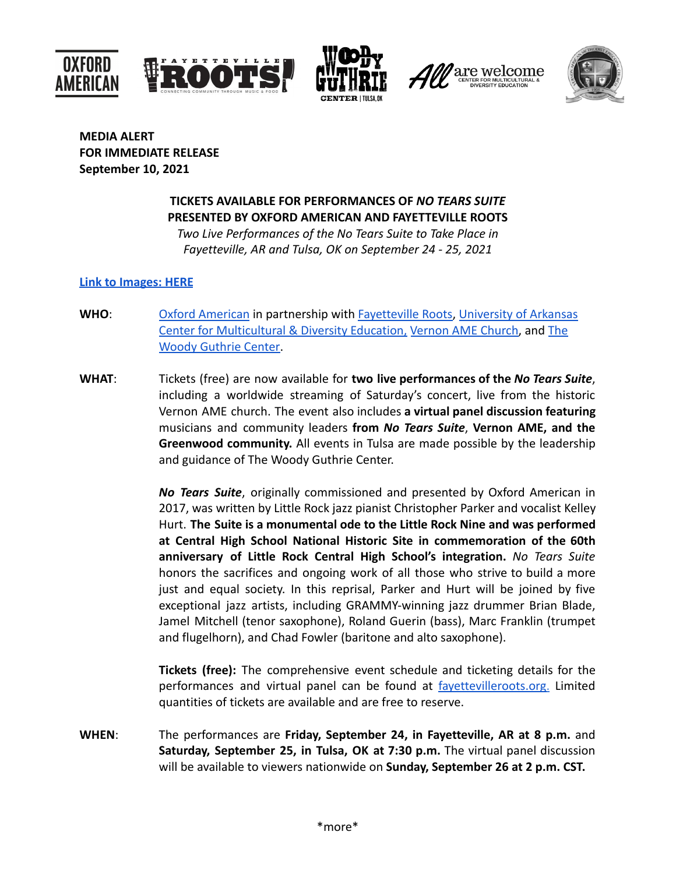







**MEDIA ALERT FOR IMMEDIATE RELEASE September 10, 2021**

## **TICKETS AVAILABLE FOR PERFORMANCES OF** *NO TEARS SUITE* **PRESENTED BY OXFORD AMERICAN AND FAYETTEVILLE ROOTS**

*Two Live Performances of the No Tears Suite to Take Place in Fayetteville, AR and Tulsa, OK on September 24 - 25, 2021*

## **[Link to Images: HERE](https://drive.google.com/drive/folders/1GBzpQjCcZ2oO3UjT413r_P9aToRjXCDs?usp=sharing)**

- **WHO**: [Oxford American](https://www.oxfordamerican.org/) in partnership with [Fayetteville](http://fayettevilleroots.org) Roots, [University of Arkansas](https://multicultural.uark.edu/diversity-and-inclusion/programs/) [Center for Multicultural & Diversity Education,](https://multicultural.uark.edu/diversity-and-inclusion/programs/) Vernon [AME Church,](https://vernoname.com/) and [The](https://woodyguthriecenter.org/) [Woody Guthrie Center.](https://woodyguthriecenter.org/)
- **WHAT**: Tickets (free) are now available for **two live performances of the** *No Tears Suite*, including a worldwide streaming of Saturday's concert, live from the historic Vernon AME church. The event also includes **a virtual panel discussion featuring** musicians and community leaders **from** *No Tears Suite*, **Vernon AME, and the Greenwood community.** All events in Tulsa are made possible by the leadership and guidance of The Woody Guthrie Center.

*No Tears Suite*, originally commissioned and presented by Oxford American in 2017, was written by Little Rock jazz pianist Christopher Parker and vocalist Kelley Hurt. **The Suite is a monumental ode to the Little Rock Nine and was performed at Central High School National Historic Site in commemoration of the 60th anniversary of Little Rock Central High School's integration.** *No Tears Suite* honors the sacrifices and ongoing work of all those who strive to build a more just and equal society. In this reprisal, Parker and Hurt will be joined by five exceptional jazz artists, including GRAMMY-winning jazz drummer Brian Blade, Jamel Mitchell (tenor saxophone), Roland Guerin (bass), Marc Franklin (trumpet and flugelhorn), and Chad Fowler (baritone and alto saxophone).

**Tickets (free):** The comprehensive event schedule and ticketing details for the performances and virtual panel can be found at favettevilleroots.org. Limited quantities of tickets are available and are free to reserve.

**WHEN**: The performances are **Friday, September 24, in Fayetteville, AR at 8 p.m.** and **Saturday, September 25, in Tulsa, OK at 7:30 p.m.** The virtual panel discussion will be available to viewers nationwide on **Sunday, September 26 at 2 p.m. CST.**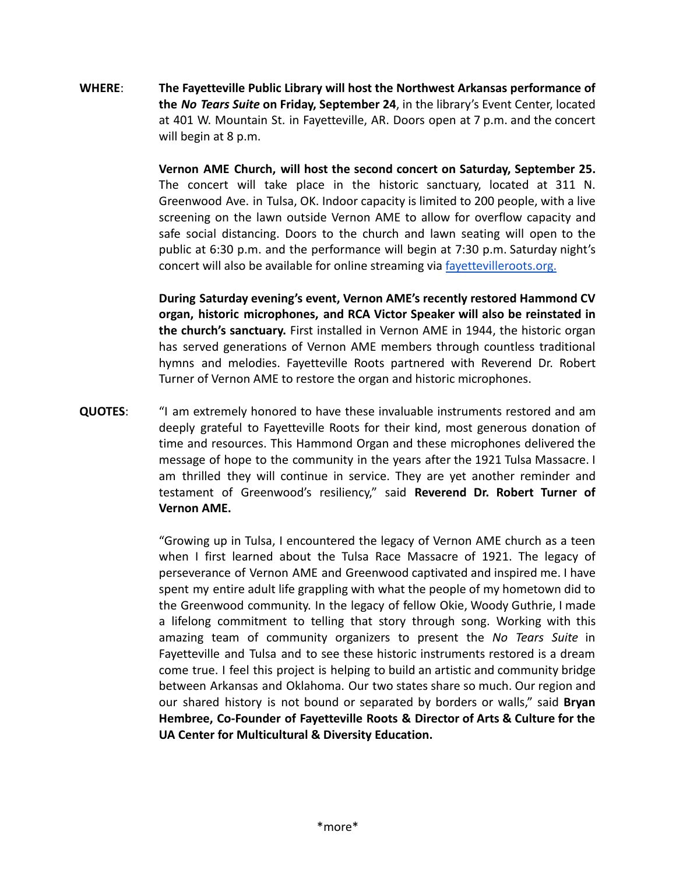**WHERE**: **The Fayetteville Public Library will host the Northwest Arkansas performance of the** *No Tears Suite* **on Friday, September 24**, in the library's Event Center, located at 401 W. Mountain St. in Fayetteville, AR. Doors open at 7 p.m. and the concert will begin at 8 p.m.

> **Vernon AME Church, will host the second concert on Saturday, September 25.** The concert will take place in the historic sanctuary, located at 311 N. Greenwood Ave. in Tulsa, OK. Indoor capacity is limited to 200 people, with a live screening on the lawn outside Vernon AME to allow for overflow capacity and safe social distancing. Doors to the church and lawn seating will open to the public at 6:30 p.m. and the performance will begin at 7:30 p.m. Saturday night's concert will also be available for online streaming via [fayettevilleroots.org.](https://www.fayettevilleroots.org/)

> **During Saturday evening's event, Vernon AME's recently restored Hammond CV organ, historic microphones, and RCA Victor Speaker will also be reinstated in the church's sanctuary.** First installed in Vernon AME in 1944, the historic organ has served generations of Vernon AME members through countless traditional hymns and melodies. Fayetteville Roots partnered with Reverend Dr. Robert Turner of Vernon AME to restore the organ and historic microphones.

**QUOTES**: "I am extremely honored to have these invaluable instruments restored and am deeply grateful to Fayetteville Roots for their kind, most generous donation of time and resources. This Hammond Organ and these microphones delivered the message of hope to the community in the years after the 1921 Tulsa Massacre. I am thrilled they will continue in service. They are yet another reminder and testament of Greenwood's resiliency," said **Reverend Dr. Robert Turner of Vernon AME.**

> "Growing up in Tulsa, I encountered the legacy of Vernon AME church as a teen when I first learned about the Tulsa Race Massacre of 1921. The legacy of perseverance of Vernon AME and Greenwood captivated and inspired me. I have spent my entire adult life grappling with what the people of my hometown did to the Greenwood community. In the legacy of fellow Okie, Woody Guthrie, I made a lifelong commitment to telling that story through song. Working with this amazing team of community organizers to present the *No Tears Suite* in Fayetteville and Tulsa and to see these historic instruments restored is a dream come true. I feel this project is helping to build an artistic and community bridge between Arkansas and Oklahoma. Our two states share so much. Our region and our shared history is not bound or separated by borders or walls," said **Bryan Hembree, Co-Founder of Fayetteville Roots & Director of Arts & Culture for the UA Center for Multicultural & Diversity Education.**